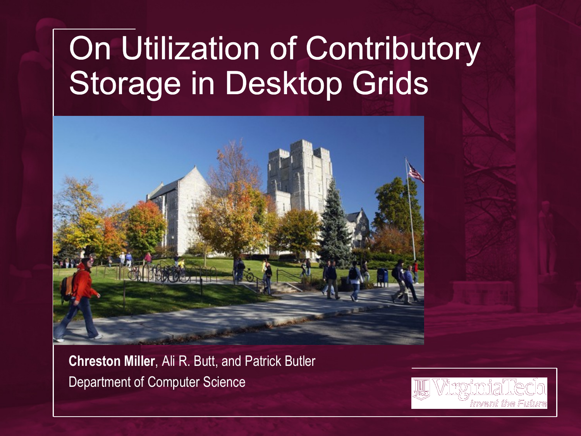#### On Utilization of Contributory Storage in Desktop Grids



**Chreston Miller**, Ali R. Butt, and Patrick Butler Department of Computer Science

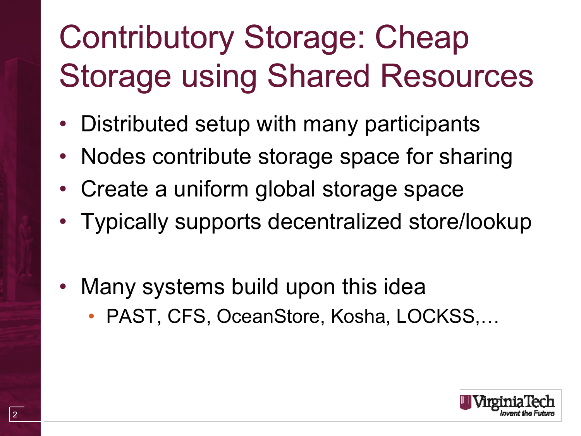# Contributory Storage: Cheap Storage using Shared Resources

- Distributed setup with many participants
- Nodes contribute storage space for sharing
- Create a uniform global storage space
- Typically supports decentralized store/lookup
- Many systems build upon this idea
	- PAST, CFS, OceanStore, Kosha, LOCKSS,…

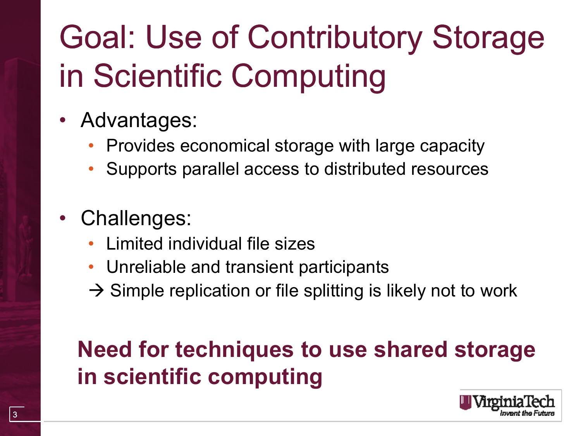# Goal: Use of Contributory Storage in Scientific Computing

- Advantages:
	- Provides economical storage with large capacity
	- Supports parallel access to distributed resources
- Challenges:
	- Limited individual file sizes
	- Unreliable and transient participants
	- $\rightarrow$  Simple replication or file splitting is likely not to work

#### **Need for techniques to use shared storage in scientific computing**

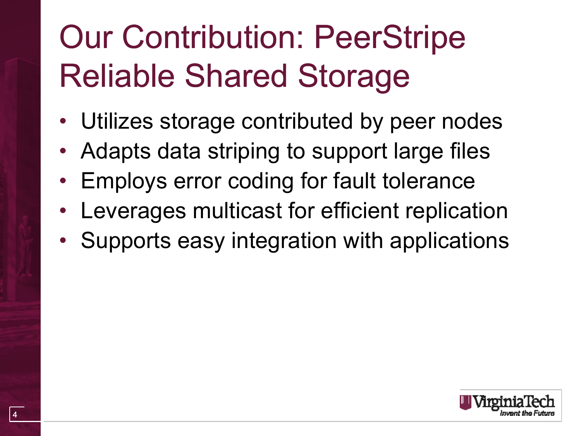## Our Contribution: PeerStripe Reliable Shared Storage

- Utilizes storage contributed by peer nodes
- Adapts data striping to support large files
- Employs error coding for fault tolerance
- Leverages multicast for efficient replication
- Supports easy integration with applications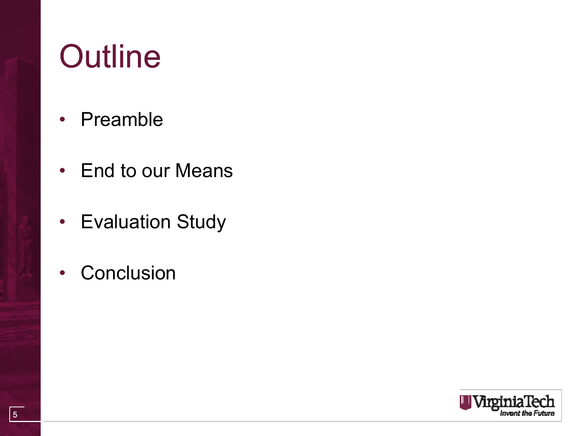## **Outline**

- Preamble
- End to our Means
- Evaluation Study
- Conclusion

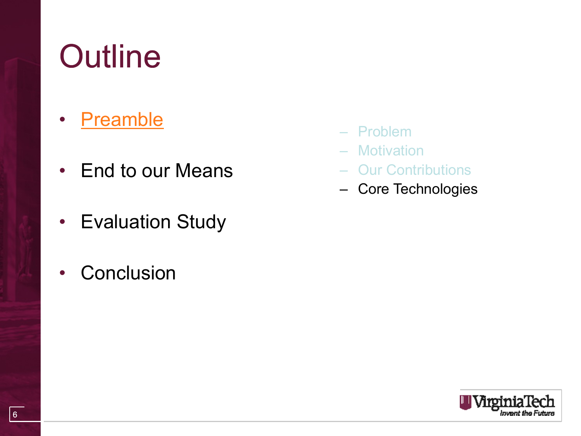## **Outline**

- Preamble
- End to our Means
- Evaluation Study
- Conclusion
- Problem
- Motivation
- Our Contributions
- Core Technologies

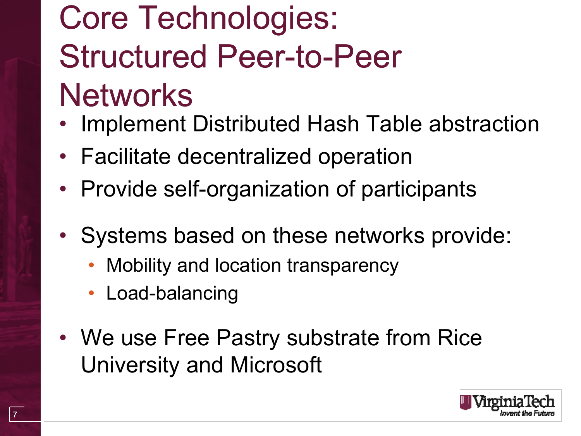## Core Technologies: Structured Peer-to-Peer **Networks**

- Implement Distributed Hash Table abstraction
- Facilitate decentralized operation
- Provide self-organization of participants
- Systems based on these networks provide:
	- Mobility and location transparency
	- Load-balancing
- We use Free Pastry substrate from Rice University and Microsoft

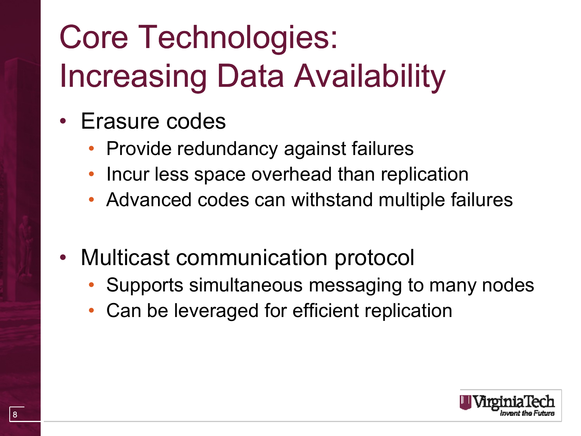# Core Technologies: Increasing Data Availability

- Erasure codes
	- Provide redundancy against failures
	- Incur less space overhead than replication
	- Advanced codes can withstand multiple failures
- Multicast communication protocol
	- Supports simultaneous messaging to many nodes
	- Can be leveraged for efficient replication

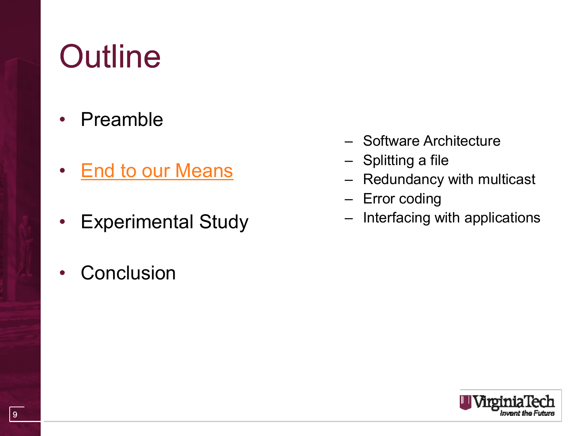## **Outline**

- Preamble
- End to our Means
- Experimental Study
- Conclusion
- Software Architecture
- Splitting a file
- Redundancy with multicast
- Error coding
- Interfacing with applications

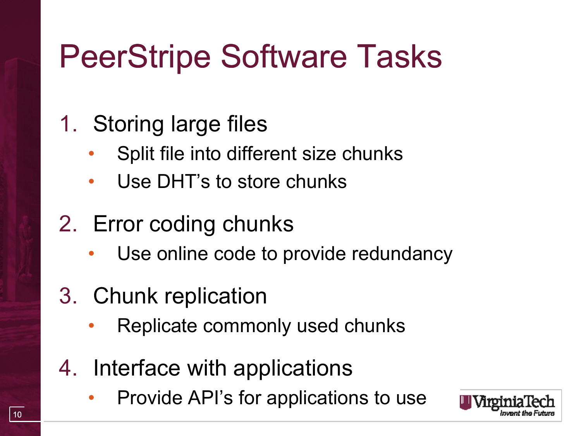### PeerStripe Software Tasks

#### 1. Storing large files

- Split file into different size chunks
- Use DHT's to store chunks

#### 2. Error coding chunks

Use online code to provide redundancy

#### 3. Chunk replication

- Replicate commonly used chunks
- 4. Interface with applications
	- Provide API's for applications to use

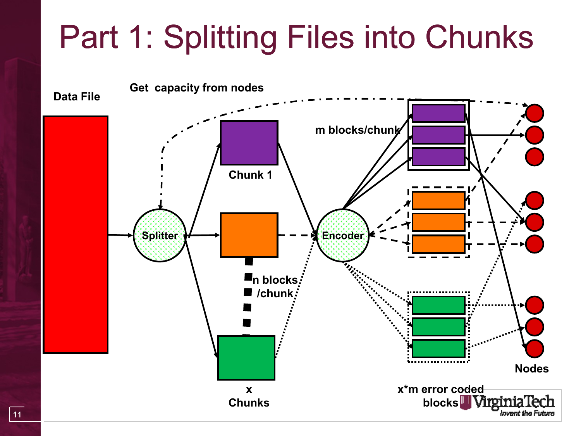## Part 1: Splitting Files into Chunks

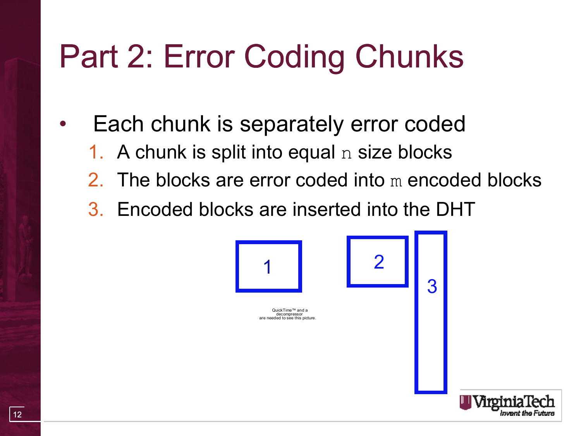## Part 2: Error Coding Chunks

- Each chunk is separately error coded
	- 1. A chunk is split into equal  $n$  size blocks
	- 2. The blocks are error coded into m encoded blocks
	- 3. Encoded blocks are inserted into the DHT

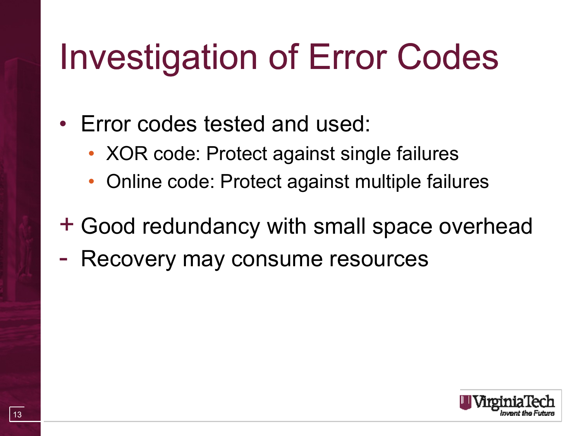# Investigation of Error Codes

#### • Error codes tested and used:

- XOR code: Protect against single failures
- Online code: Protect against multiple failures

#### + Good redundancy with small space overhead

- Recovery may consume resources

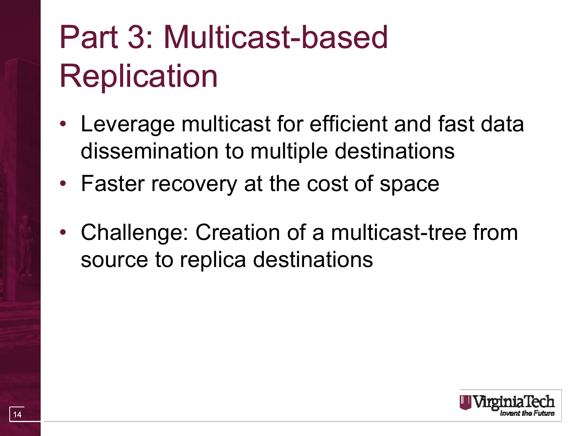## Part 3: Multicast-based **Replication**

- Leverage multicast for efficient and fast data dissemination to multiple destinations
- Faster recovery at the cost of space
- Challenge: Creation of a multicast-tree from source to replica destinations

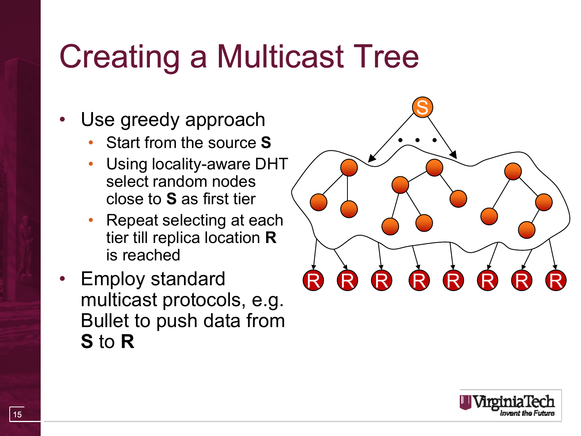### Creating a Multicast Tree

- Use greedy approach
	- Start from the source **S**
	- Using locality-aware DHT select random nodes close to **S** as first tier
	- Repeat selecting at each tier till replica location **R** is reached
- Employ standard multicast protocols, e.g. Bullet to push data from **S** to **R**



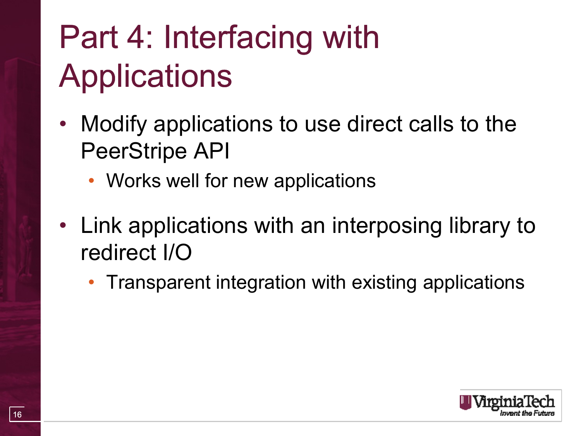# Part 4: Interfacing with **Applications**

- Modify applications to use direct calls to the PeerStripe API
	- Works well for new applications
- Link applications with an interposing library to redirect I/O
	- Transparent integration with existing applications

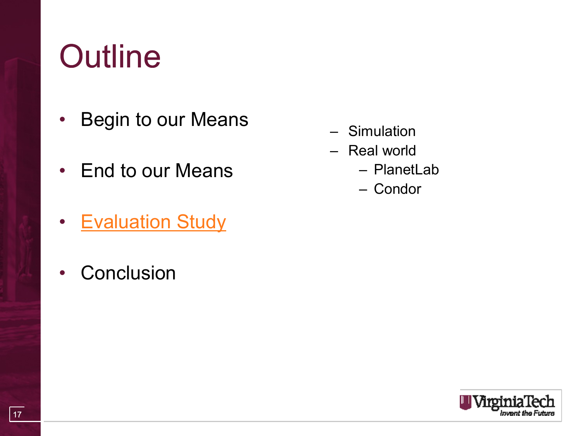## **Outline**

- Begin to our Means
- End to our Means
- Evaluation Study
- Conclusion
- Simulation
- Real world
	- PlanetLab
	- Condor

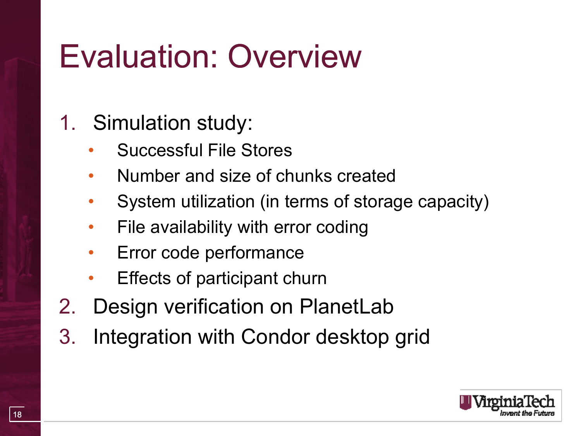### Evaluation: Overview

#### 1. Simulation study:

- Successful File Stores
- Number and size of chunks created
- System utilization (in terms of storage capacity)
- File availability with error coding
- Error code performance
- Effects of participant churn
- 2. Design verification on PlanetLab
- 3. Integration with Condor desktop grid

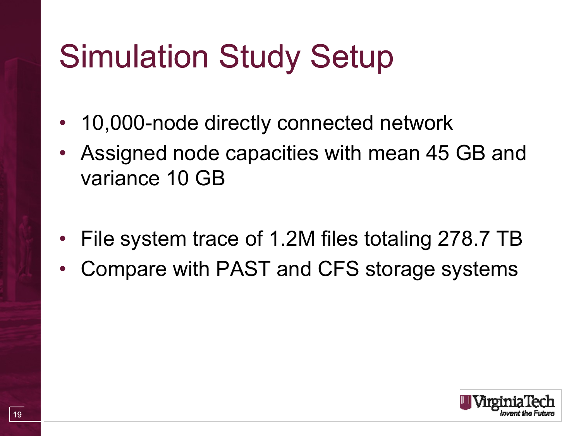## Simulation Study Setup

- 10,000-node directly connected network
- Assigned node capacities with mean 45 GB and variance 10 GB
- File system trace of 1.2M files totaling 278.7 TB
- Compare with PAST and CFS storage systems

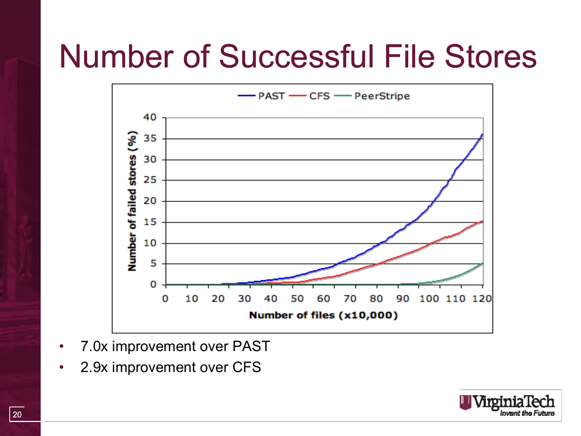#### Number of Successful File Stores



- 7.0x improvement over PAST
- 2.9x improvement over CFS

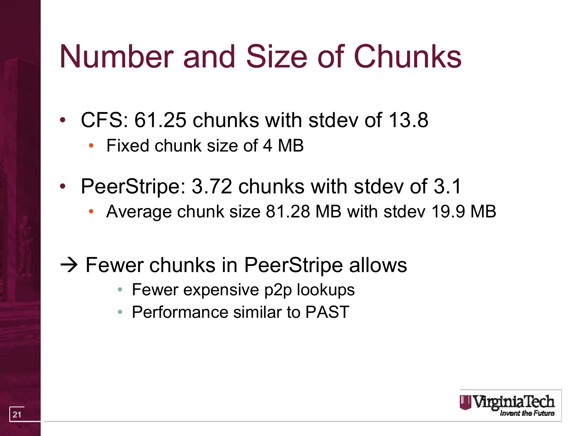### Number and Size of Chunks

- CFS: 61.25 chunks with stdev of 13.8
	- Fixed chunk size of 4 MB
- PeerStripe: 3.72 chunks with stdev of 3.1
	- Average chunk size 81.28 MB with stdev 19.9 MB
- $\rightarrow$  Fewer chunks in PeerStripe allows
	- Fewer expensive p2p lookups
	- Performance similar to PAST

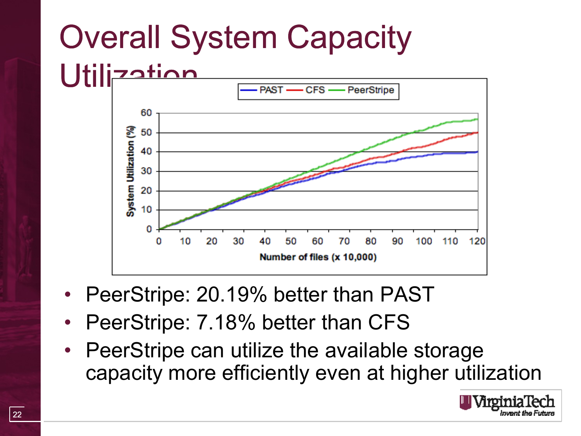# Overall System Capacity



- PeerStripe: 20.19% better than PAST
- PeerStripe: 7.18% better than CFS
- PeerStripe can utilize the available storage capacity more efficiently even at higher utilization

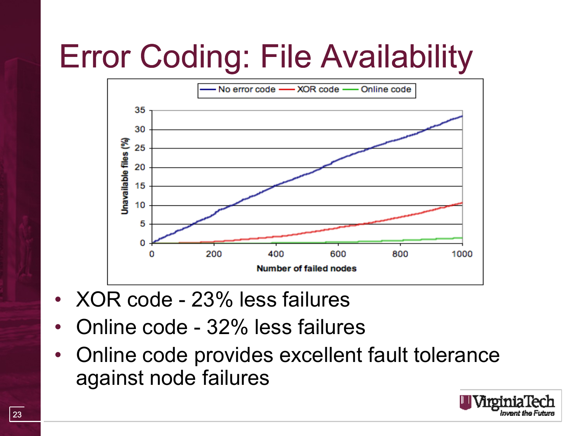# Error Coding: File Availability



- XOR code 23% less failures
- Online code 32% less failures
- Online code provides excellent fault tolerance against node failures

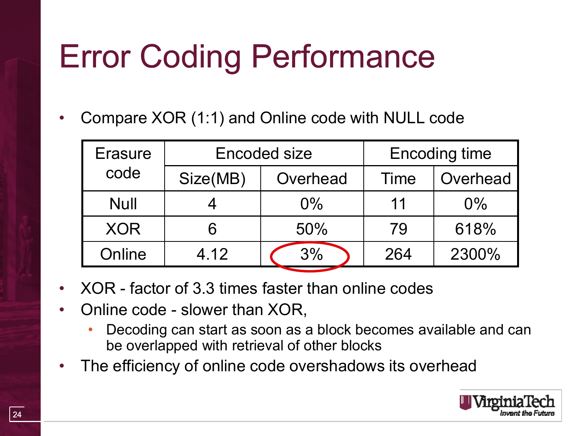## Error Coding Performance

• Compare XOR (1:1) and Online code with NULL code

| <b>Erasure</b><br>code | <b>Encoded size</b> |          | <b>Encoding time</b> |          |
|------------------------|---------------------|----------|----------------------|----------|
|                        | Size(MB)            | Overhead | Time                 | Overhead |
| <b>Null</b>            |                     | $0\%$    | 11                   | $0\%$    |
| <b>XOR</b>             | 6                   | 50%      | 79                   | 618%     |
| Online                 | 4.12                | 3%       | 264                  | 2300%    |

- XOR factor of 3.3 times faster than online codes
- Online code slower than XOR,
	- Decoding can start as soon as a block becomes available and can be overlapped with retrieval of other blocks
- The efficiency of online code overshadows its overhead

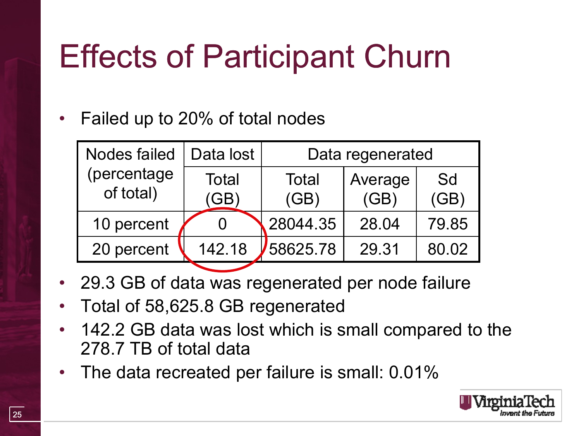## Effects of Participant Churn

• Failed up to 20% of total nodes

| <b>Nodes failed</b>      | Data lost       | Data regenerated |                 |            |
|--------------------------|-----------------|------------------|-----------------|------------|
| (percentage<br>of total) | Total<br>$G$ B) | Total<br>(GB)    | Average<br>(GB) | Sd<br>(GB) |
| 10 percent               |                 | 28044.35         | 28.04           | 79.85      |
| 20 percent               | 142.18          | 58625.78         | 29.31           | 80.02      |

- 29.3 GB of data was regenerated per node failure
- Total of 58,625.8 GB regenerated
- 142.2 GB data was lost which is small compared to the 278.7 TB of total data
- The data recreated per failure is small: 0.01%

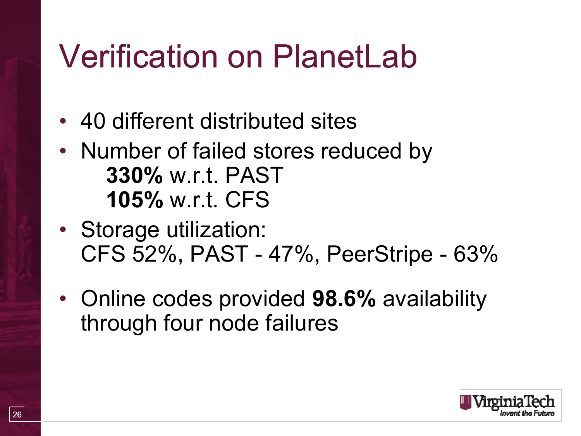### Verification on PlanetLab

- 40 different distributed sites
- Number of failed stores reduced by **330%** w.r.t. PAST **105%** w.r.t. CFS
- Storage utilization: CFS 52%, PAST - 47%, PeerStripe - 63%
- Online codes provided **98.6%** availability through four node failures

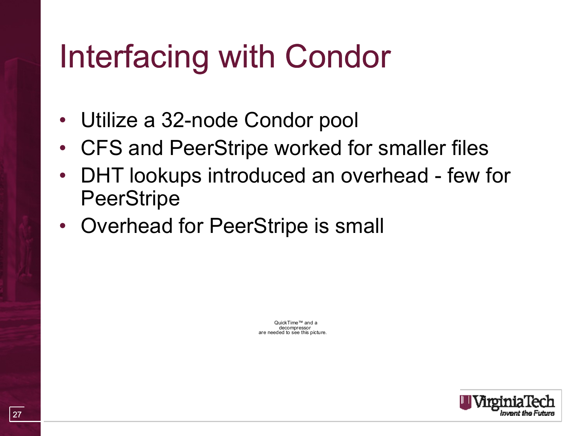### Interfacing with Condor

- Utilize a 32-node Condor pool
- CFS and PeerStripe worked for smaller files
- DHT lookups introduced an overhead few for **PeerStripe**
- Overhead for PeerStripe is small

QuickTime™ and a decompressor are needed to see this picture.

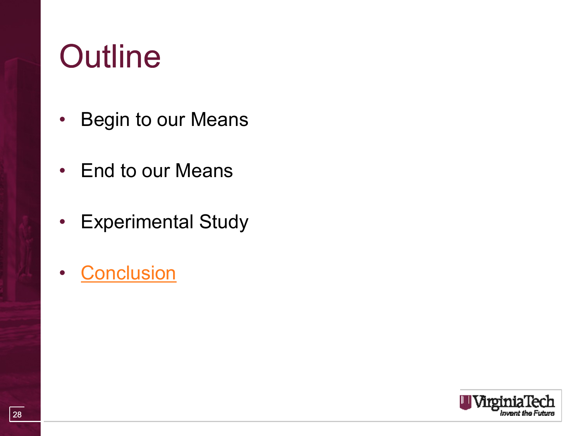### **Outline**

- Begin to our Means
- End to our Means
- Experimental Study
- Conclusion

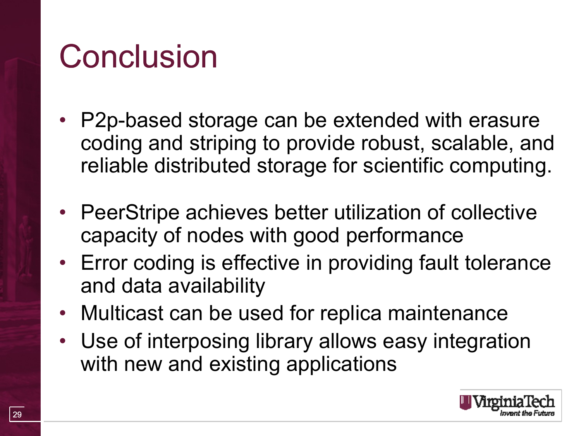### **Conclusion**

- P2p-based storage can be extended with erasure coding and striping to provide robust, scalable, and reliable distributed storage for scientific computing.
- PeerStripe achieves better utilization of collective capacity of nodes with good performance
- Error coding is effective in providing fault tolerance and data availability
- Multicast can be used for replica maintenance
- Use of interposing library allows easy integration with new and existing applications